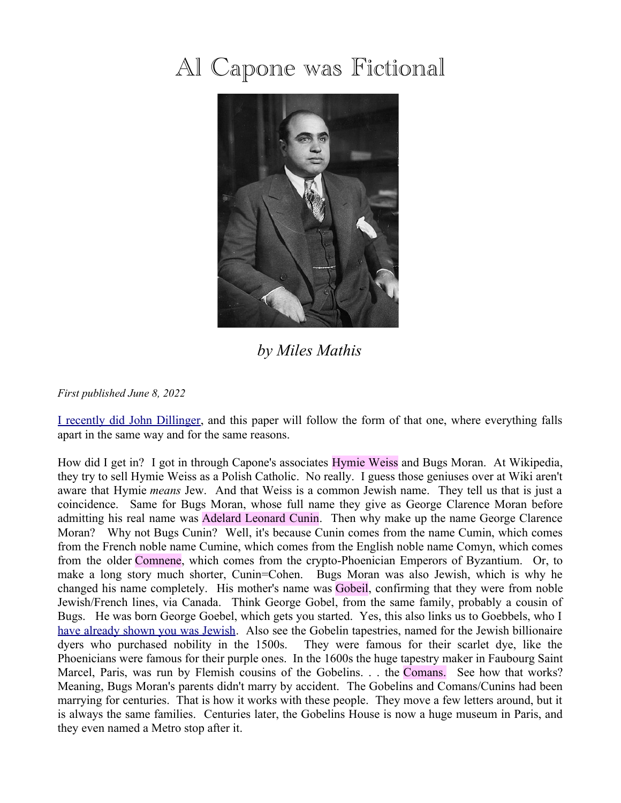## Al Capone was Fictional



*by Miles Mathis*

*First published June 8, 2022*

[I recently did John Dillinger,](http://mileswmathis.com/dilli2.pdf) and this paper will follow the form of that one, where everything falls apart in the same way and for the same reasons.

How did I get in? I got in through Capone's associates Hymie Weiss and Bugs Moran. At Wikipedia, they try to sell Hymie Weiss as a Polish Catholic. No really. I guess those geniuses over at Wiki aren't aware that Hymie *means* Jew. And that Weiss is a common Jewish name. They tell us that is just a coincidence. Same for Bugs Moran, whose full name they give as George Clarence Moran before admitting his real name was Adelard Leonard Cunin. Then why make up the name George Clarence Moran? Why not Bugs Cunin? Well, it's because Cunin comes from the name Cumin, which comes from the French noble name Cumine, which comes from the English noble name Comyn, which comes from the older Comnene, which comes from the crypto-Phoenician Emperors of Byzantium. Or, to make a long story much shorter, Cunin=Cohen. Bugs Moran was also Jewish, which is why he changed his name completely. His mother's name was Gobeil, confirming that they were from noble Jewish/French lines, via Canada. Think George Gobel, from the same family, probably a cousin of Bugs. He was born George Goebel, which gets you started. Yes, this also links us to Goebbels, who I [have already shown you was Jewish.](http://mileswmathis.com/hiller.pdf) Also see the Gobelin tapestries, named for the Jewish billionaire dyers who purchased nobility in the 1500s. They were famous for their scarlet dye, like the Phoenicians were famous for their purple ones. In the 1600s the huge tapestry maker in Faubourg Saint Marcel, Paris, was run by Flemish cousins of the Gobelins. . . the Comans. See how that works? Meaning, Bugs Moran's parents didn't marry by accident. The Gobelins and Comans/Cunins had been marrying for centuries. That is how it works with these people. They move a few letters around, but it is always the same families. Centuries later, the Gobelins House is now a huge museum in Paris, and they even named a Metro stop after it.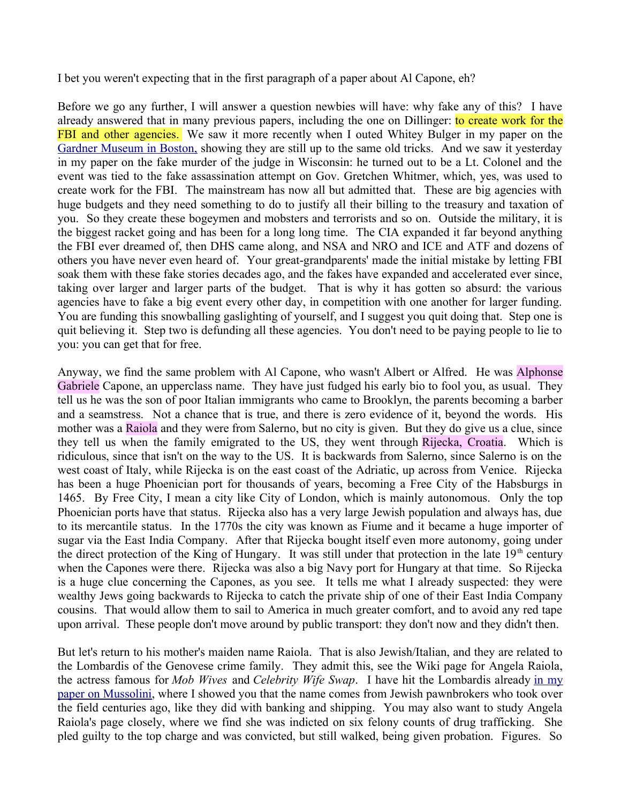I bet you weren't expecting that in the first paragraph of a paper about Al Capone, eh?

Before we go any further, I will answer a question newbies will have: why fake any of this? I have already answered that in many previous papers, including the one on Dillinger: to create work for the FBI and other agencies. We saw it more recently when I outed Whitey Bulger in my paper on the [Gardner Museum in Boston,](http://mileswmathis.com/isgm.pdf) showing they are still up to the same old tricks. And we saw it yesterday in my paper on the fake murder of the judge in Wisconsin: he turned out to be a Lt. Colonel and the event was tied to the fake assassination attempt on Gov. Gretchen Whitmer, which, yes, was used to create work for the FBI. The mainstream has now all but admitted that. These are big agencies with huge budgets and they need something to do to justify all their billing to the treasury and taxation of you. So they create these bogeymen and mobsters and terrorists and so on. Outside the military, it is the biggest racket going and has been for a long long time. The CIA expanded it far beyond anything the FBI ever dreamed of, then DHS came along, and NSA and NRO and ICE and ATF and dozens of others you have never even heard of. Your great-grandparents' made the initial mistake by letting FBI soak them with these fake stories decades ago, and the fakes have expanded and accelerated ever since, taking over larger and larger parts of the budget. That is why it has gotten so absurd: the various agencies have to fake a big event every other day, in competition with one another for larger funding. You are funding this snowballing gaslighting of yourself, and I suggest you quit doing that. Step one is quit believing it. Step two is defunding all these agencies. You don't need to be paying people to lie to you: you can get that for free.

Anyway, we find the same problem with Al Capone, who wasn't Albert or Alfred. He was Alphonse Gabriele Capone, an upperclass name. They have just fudged his early bio to fool you, as usual. They tell us he was the son of poor Italian immigrants who came to Brooklyn, the parents becoming a barber and a seamstress. Not a chance that is true, and there is zero evidence of it, beyond the words. His mother was a Raiola and they were from Salerno, but no city is given. But they do give us a clue, since they tell us when the family emigrated to the US, they went through Rijecka, Croatia. Which is ridiculous, since that isn't on the way to the US. It is backwards from Salerno, since Salerno is on the west coast of Italy, while Rijecka is on the east coast of the Adriatic, up across from Venice. Rijecka has been a huge Phoenician port for thousands of years, becoming a Free City of the Habsburgs in 1465. By Free City, I mean a city like City of London, which is mainly autonomous. Only the top Phoenician ports have that status. Rijecka also has a very large Jewish population and always has, due to its mercantile status. In the 1770s the city was known as Fiume and it became a huge importer of sugar via the East India Company. After that Rijecka bought itself even more autonomy, going under the direct protection of the King of Hungary. It was still under that protection in the late  $19<sup>th</sup>$  century when the Capones were there. Rijecka was also a big Navy port for Hungary at that time. So Rijecka is a huge clue concerning the Capones, as you see. It tells me what I already suspected: they were wealthy Jews going backwards to Rijecka to catch the private ship of one of their East India Company cousins. That would allow them to sail to America in much greater comfort, and to avoid any red tape upon arrival. These people don't move around by public transport: they don't now and they didn't then.

But let's return to his mother's maiden name Raiola. That is also Jewish/Italian, and they are related to the Lombardis of the Genovese crime family. They admit this, see the Wiki page for Angela Raiola, the actress famous for *Mob Wives* and *Celebrity Wife Swap*. I have hit the Lombardis already [in my](http://mileswmathis.com/benito.pdf) [paper on Mussolini,](http://mileswmathis.com/benito.pdf) where I showed you that the name comes from Jewish pawnbrokers who took over the field centuries ago, like they did with banking and shipping. You may also want to study Angela Raiola's page closely, where we find she was indicted on six felony counts of drug trafficking. She pled guilty to the top charge and was convicted, but still walked, being given probation. Figures. So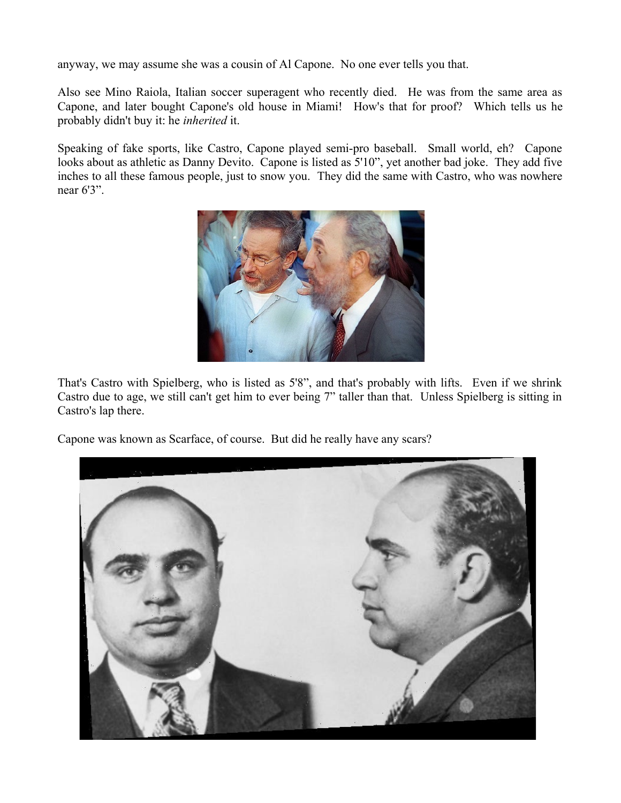anyway, we may assume she was a cousin of Al Capone. No one ever tells you that.

Also see Mino Raiola, Italian soccer superagent who recently died. He was from the same area as Capone, and later bought Capone's old house in Miami! How's that for proof? Which tells us he probably didn't buy it: he *inherited* it.

Speaking of fake sports, like Castro, Capone played semi-pro baseball. Small world, eh? Capone looks about as athletic as Danny Devito. Capone is listed as 5'10", yet another bad joke. They add five inches to all these famous people, just to snow you. They did the same with Castro, who was nowhere near 6'3".



That's Castro with Spielberg, who is listed as 5'8", and that's probably with lifts. Even if we shrink Castro due to age, we still can't get him to ever being 7" taller than that. Unless Spielberg is sitting in Castro's lap there.

Capone was known as Scarface, of course. But did he really have any scars?

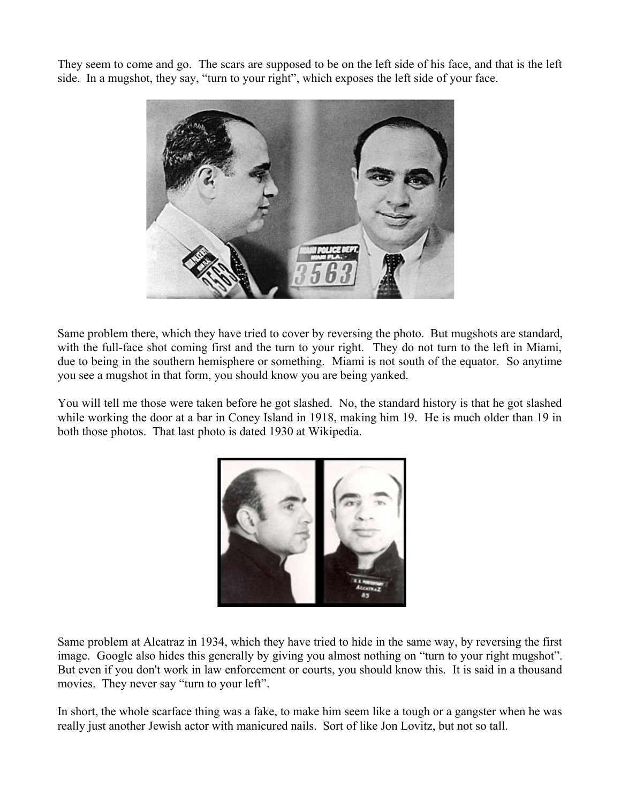They seem to come and go. The scars are supposed to be on the left side of his face, and that is the left side. In a mugshot, they say, "turn to your right", which exposes the left side of your face.



Same problem there, which they have tried to cover by reversing the photo. But mugshots are standard, with the full-face shot coming first and the turn to your right. They do not turn to the left in Miami, due to being in the southern hemisphere or something. Miami is not south of the equator. So anytime you see a mugshot in that form, you should know you are being yanked.

You will tell me those were taken before he got slashed. No, the standard history is that he got slashed while working the door at a bar in Coney Island in 1918, making him 19. He is much older than 19 in both those photos. That last photo is dated 1930 at Wikipedia.



Same problem at Alcatraz in 1934, which they have tried to hide in the same way, by reversing the first image. Google also hides this generally by giving you almost nothing on "turn to your right mugshot". But even if you don't work in law enforcement or courts, you should know this. It is said in a thousand movies. They never say "turn to your left".

In short, the whole scarface thing was a fake, to make him seem like a tough or a gangster when he was really just another Jewish actor with manicured nails. Sort of like Jon Lovitz, but not so tall.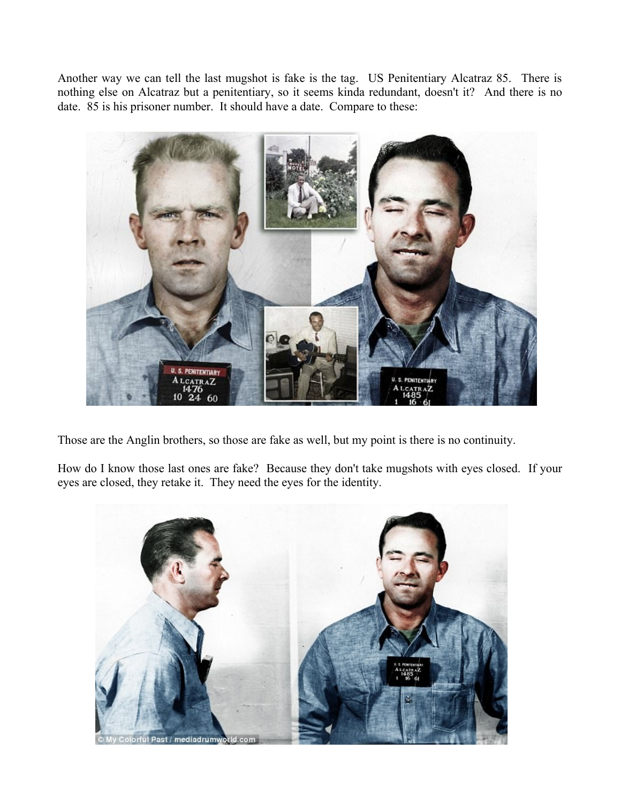Another way we can tell the last mugshot is fake is the tag. US Penitentiary Alcatraz 85. There is nothing else on Alcatraz but a penitentiary, so it seems kinda redundant, doesn't it? And there is no date. 85 is his prisoner number. It should have a date. Compare to these:



Those are the Anglin brothers, so those are fake as well, but my point is there is no continuity.

How do I know those last ones are fake? Because they don't take mugshots with eyes closed. If your eyes are closed, they retake it. They need the eyes for the identity.

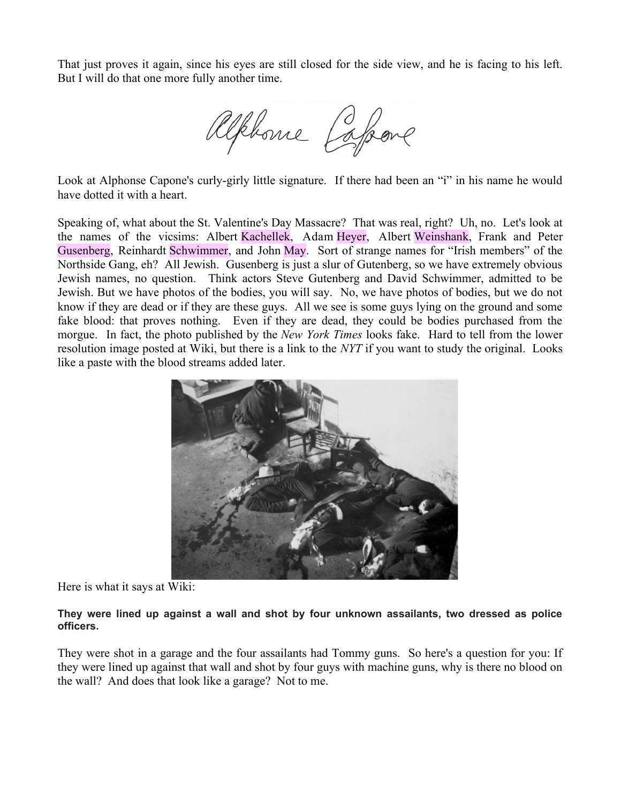That just proves it again, since his eyes are still closed for the side view, and he is facing to his left. But I will do that one more fully another time.

Alphone Copone

Look at Alphonse Capone's curly-girly little signature. If there had been an "i" in his name he would have dotted it with a heart.

Speaking of, what about the St. Valentine's Day Massacre? That was real, right? Uh, no. Let's look at the names of the vicsims: Albert Kachellek, Adam Heyer, Albert Weinshank, Frank and Peter Gusenberg, Reinhardt Schwimmer, and John May. Sort of strange names for "Irish members" of the Northside Gang, eh? All Jewish. Gusenberg is just a slur of Gutenberg, so we have extremely obvious Jewish names, no question. Think actors Steve Gutenberg and David Schwimmer, admitted to be Jewish. But we have photos of the bodies, you will say. No, we have photos of bodies, but we do not know if they are dead or if they are these guys. All we see is some guys lying on the ground and some fake blood: that proves nothing. Even if they are dead, they could be bodies purchased from the morgue. In fact, the photo published by the *New York Times* looks fake. Hard to tell from the lower resolution image posted at Wiki, but there is a link to the *NYT* if you want to study the original. Looks like a paste with the blood streams added later.



Here is what it says at Wiki:

## **They were lined up against a wall and shot by four unknown assailants, two dressed as police officers.**

They were shot in a garage and the four assailants had Tommy guns. So here's a question for you: If they were lined up against that wall and shot by four guys with machine guns, why is there no blood on the wall? And does that look like a garage? Not to me.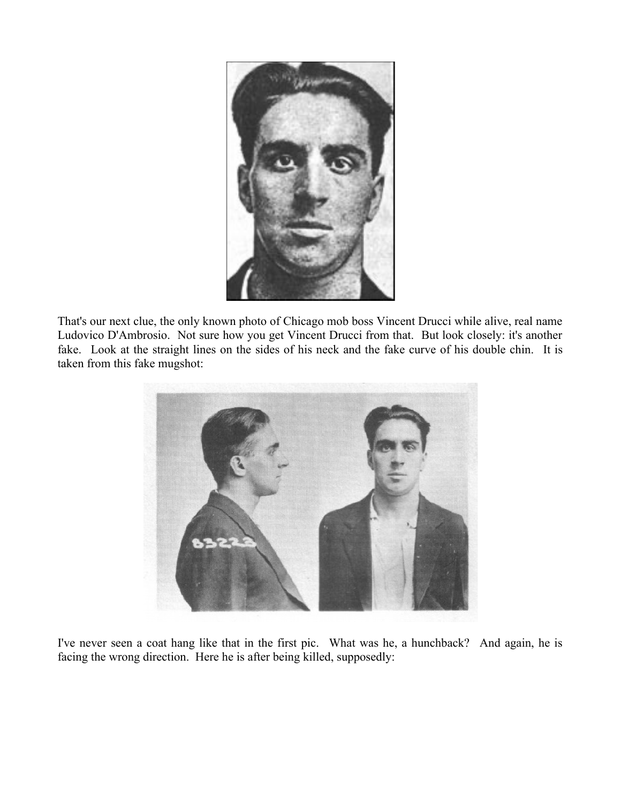

That's our next clue, the only known photo of Chicago mob boss Vincent Drucci while alive, real name Ludovico D'Ambrosio. Not sure how you get Vincent Drucci from that. But look closely: it's another fake. Look at the straight lines on the sides of his neck and the fake curve of his double chin. It is taken from this fake mugshot:



I've never seen a coat hang like that in the first pic. What was he, a hunchback? And again, he is facing the wrong direction. Here he is after being killed, supposedly: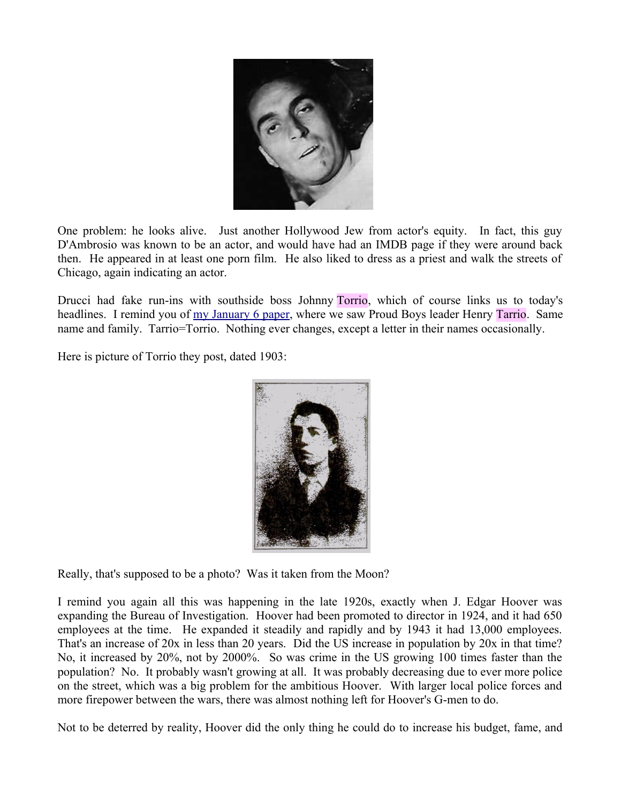

One problem: he looks alive. Just another Hollywood Jew from actor's equity. In fact, this guy D'Ambrosio was known to be an actor, and would have had an IMDB page if they were around back then. He appeared in at least one porn film. He also liked to dress as a priest and walk the streets of Chicago, again indicating an actor.

Drucci had fake run-ins with southside boss Johnny Torrio, which of course links us to today's headlines. I remind you of [my January 6 paper,](http://mileswmathis.com/jan6.pdf) where we saw Proud Boys leader Henry Tarrio. Same name and family. Tarrio=Torrio. Nothing ever changes, except a letter in their names occasionally.

Here is picture of Torrio they post, dated 1903:



Really, that's supposed to be a photo? Was it taken from the Moon?

I remind you again all this was happening in the late 1920s, exactly when J. Edgar Hoover was expanding the Bureau of Investigation. Hoover had been promoted to director in 1924, and it had 650 employees at the time. He expanded it steadily and rapidly and by 1943 it had 13,000 employees. That's an increase of 20x in less than 20 years. Did the US increase in population by 20x in that time? No, it increased by 20%, not by 2000%. So was crime in the US growing 100 times faster than the population? No. It probably wasn't growing at all. It was probably decreasing due to ever more police on the street, which was a big problem for the ambitious Hoover. With larger local police forces and more firepower between the wars, there was almost nothing left for Hoover's G-men to do.

Not to be deterred by reality, Hoover did the only thing he could do to increase his budget, fame, and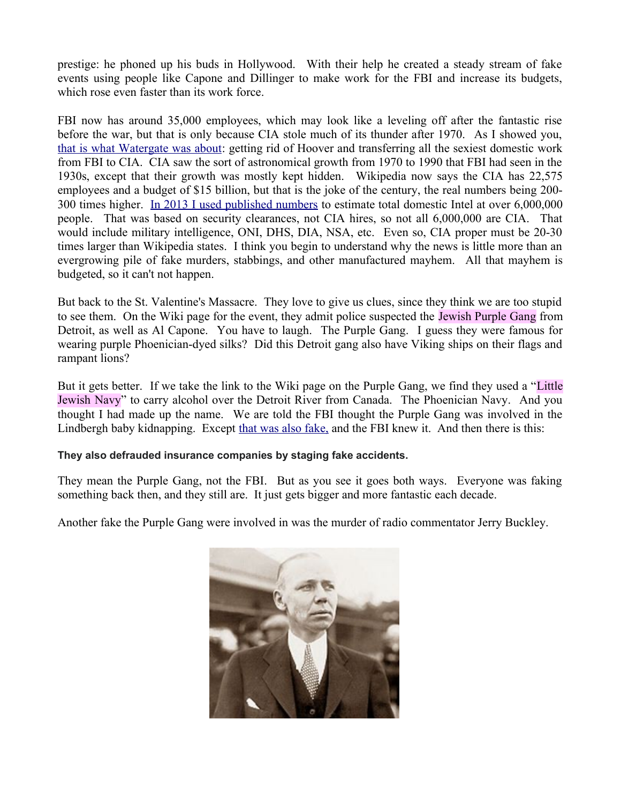prestige: he phoned up his buds in Hollywood. With their help he created a steady stream of fake events using people like Capone and Dillinger to make work for the FBI and increase its budgets, which rose even faster than its work force.

FBI now has around 35,000 employees, which may look like a leveling off after the fantastic rise before the war, but that is only because CIA stole much of its thunder after 1970. As I showed you, [that is what Watergate was about:](http://mileswmathis.com/watergate.pdf) getting rid of Hoover and transferring all the sexiest domestic work from FBI to CIA. CIA saw the sort of astronomical growth from 1970 to 1990 that FBI had seen in the 1930s, except that their growth was mostly kept hidden. Wikipedia now says the CIA has 22,575 employees and a budget of \$15 billion, but that is the joke of the century, the real numbers being 200- 300 times higher. [In 2013 I used published numbers](http://mileswmathis.com/obey.pdf) to estimate total domestic Intel at over 6,000,000 people. That was based on security clearances, not CIA hires, so not all 6,000,000 are CIA. That would include military intelligence, ONI, DHS, DIA, NSA, etc. Even so, CIA proper must be 20-30 times larger than Wikipedia states. I think you begin to understand why the news is little more than an evergrowing pile of fake murders, stabbings, and other manufactured mayhem. All that mayhem is budgeted, so it can't not happen.

But back to the St. Valentine's Massacre. They love to give us clues, since they think we are too stupid to see them. On the Wiki page for the event, they admit police suspected the Jewish Purple Gang from Detroit, as well as Al Capone. You have to laugh. The Purple Gang. I guess they were famous for wearing purple Phoenician-dyed silks? Did this Detroit gang also have Viking ships on their flags and rampant lions?

But it gets better. If we take the link to the Wiki page on the Purple Gang, we find they used a "Little Jewish Navy" to carry alcohol over the Detroit River from Canada. The Phoenician Navy. And you thought I had made up the name. We are told the FBI thought the Purple Gang was involved in the Lindbergh baby kidnapping. Except [that was also fake,](http://mileswmathis.com/lindy.pdf) and the FBI knew it. And then there is this:

## **They also defrauded insurance companies by staging fake accidents.**

They mean the Purple Gang, not the FBI. But as you see it goes both ways. Everyone was faking something back then, and they still are. It just gets bigger and more fantastic each decade.

Another fake the Purple Gang were involved in was the murder of radio commentator Jerry Buckley.

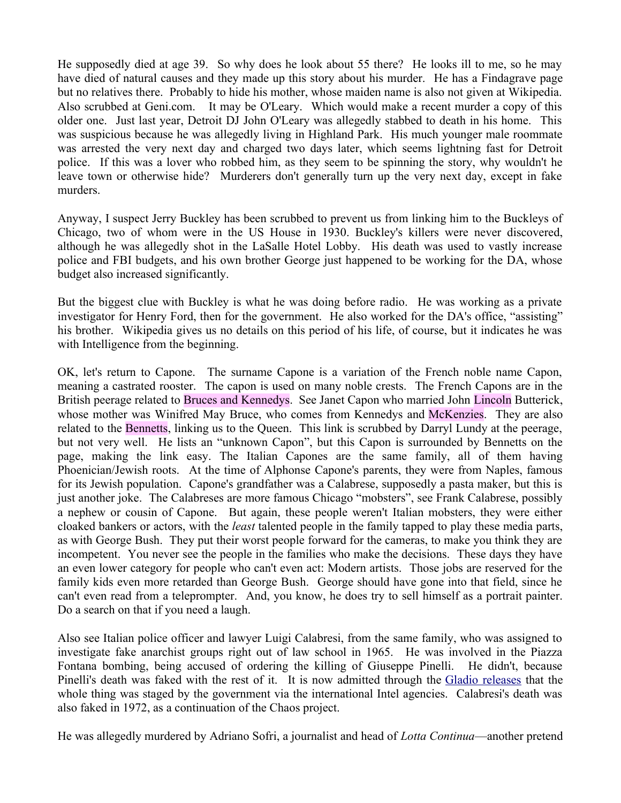He supposedly died at age 39. So why does he look about 55 there? He looks ill to me, so he may have died of natural causes and they made up this story about his murder. He has a Findagrave page but no relatives there. Probably to hide his mother, whose maiden name is also not given at Wikipedia. Also scrubbed at Geni.com. It may be O'Leary. Which would make a recent murder a copy of this older one. Just last year, Detroit DJ John O'Leary was allegedly stabbed to death in his home. This was suspicious because he was allegedly living in Highland Park. His much younger male roommate was arrested the very next day and charged two days later, which seems lightning fast for Detroit police. If this was a lover who robbed him, as they seem to be spinning the story, why wouldn't he leave town or otherwise hide? Murderers don't generally turn up the very next day, except in fake murders.

Anyway, I suspect Jerry Buckley has been scrubbed to prevent us from linking him to the Buckleys of Chicago, two of whom were in the US House in 1930. Buckley's killers were never discovered, although he was allegedly shot in the LaSalle Hotel Lobby. His death was used to vastly increase police and FBI budgets, and his own brother George just happened to be working for the DA, whose budget also increased significantly.

But the biggest clue with Buckley is what he was doing before radio. He was working as a private investigator for Henry Ford, then for the government. He also worked for the DA's office, "assisting" his brother. Wikipedia gives us no details on this period of his life, of course, but it indicates he was with Intelligence from the beginning.

OK, let's return to Capone. The surname Capone is a variation of the French noble name Capon, meaning a castrated rooster. The capon is used on many noble crests. The French Capons are in the British peerage related to Bruces and Kennedys. See Janet Capon who married John Lincoln Butterick, whose mother was Winifred May Bruce, who comes from Kennedys and McKenzies. They are also related to the Bennetts, linking us to the Queen. This link is scrubbed by Darryl Lundy at the peerage, but not very well. He lists an "unknown Capon", but this Capon is surrounded by Bennetts on the page, making the link easy. The Italian Capones are the same family, all of them having Phoenician/Jewish roots. At the time of Alphonse Capone's parents, they were from Naples, famous for its Jewish population. Capone's grandfather was a Calabrese, supposedly a pasta maker, but this is just another joke. The Calabreses are more famous Chicago "mobsters", see Frank Calabrese, possibly a nephew or cousin of Capone. But again, these people weren't Italian mobsters, they were either cloaked bankers or actors, with the *least* talented people in the family tapped to play these media parts, as with George Bush. They put their worst people forward for the cameras, to make you think they are incompetent. You never see the people in the families who make the decisions. These days they have an even lower category for people who can't even act: Modern artists. Those jobs are reserved for the family kids even more retarded than George Bush. George should have gone into that field, since he can't even read from a teleprompter. And, you know, he does try to sell himself as a portrait painter. Do a search on that if you need a laugh.

Also see Italian police officer and lawyer Luigi Calabresi, from the same family, who was assigned to investigate fake anarchist groups right out of law school in 1965. He was involved in the Piazza Fontana bombing, being accused of ordering the killing of Giuseppe Pinelli. He didn't, because Pinelli's death was faked with the rest of it. It is now admitted through the [Gladio releases](https://en.wikipedia.org/wiki/Operation_Gladio) that the whole thing was staged by the government via the international Intel agencies. Calabresi's death was also faked in 1972, as a continuation of the Chaos project.

He was allegedly murdered by Adriano Sofri, a journalist and head of *Lotta Continua*—another pretend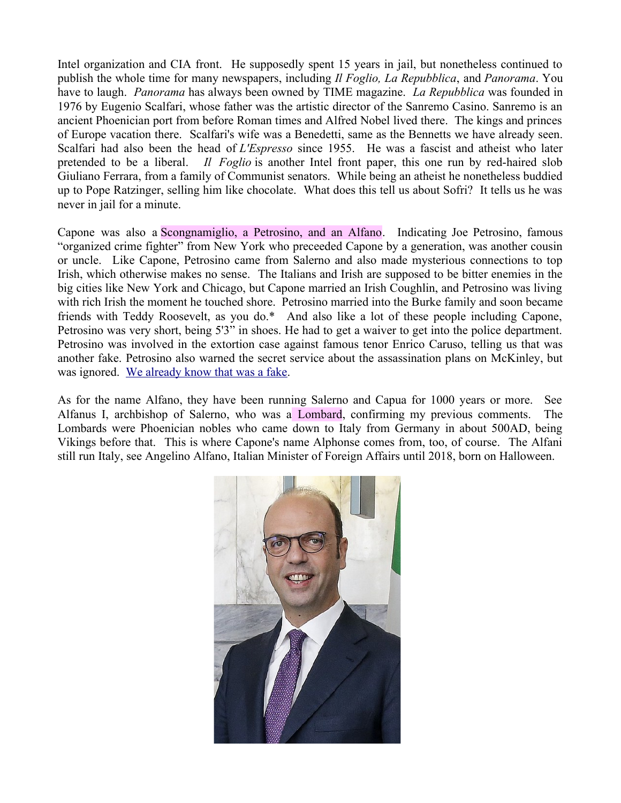Intel organization and CIA front. He supposedly spent 15 years in jail, but nonetheless continued to publish the whole time for many newspapers, including *Il Foglio, La Repubblica*, and *Panorama*. You have to laugh. *Panorama* has always been owned by TIME magazine. *La Repubblica* was founded in 1976 by Eugenio Scalfari, whose father was the artistic director of the Sanremo Casino. Sanremo is an ancient Phoenician port from before Roman times and Alfred Nobel lived there. The kings and princes of Europe vacation there. Scalfari's wife was a Benedetti, same as the Bennetts we have already seen. Scalfari had also been the head of *L'Espresso* since 1955. He was a fascist and atheist who later pretended to be a liberal. *Il Foglio* is another Intel front paper, this one run by red-haired slob Giuliano Ferrara, from a family of Communist senators. While being an atheist he nonetheless buddied up to Pope Ratzinger, selling him like chocolate. What does this tell us about Sofri? It tells us he was never in jail for a minute.

Capone was also a Scongnamiglio, a Petrosino, and an Alfano. Indicating Joe Petrosino, famous "organized crime fighter" from New York who preceeded Capone by a generation, was another cousin or uncle. Like Capone, Petrosino came from Salerno and also made mysterious connections to top Irish, which otherwise makes no sense. The Italians and Irish are supposed to be bitter enemies in the big cities like New York and Chicago, but Capone married an Irish Coughlin, and Petrosino was living with rich Irish the moment he touched shore. Petrosino married into the Burke family and soon became friends with Teddy Roosevelt, as you do.\* And also like a lot of these people including Capone, Petrosino was very short, being 5'3" in shoes. He had to get a waiver to get into the police department. Petrosino was involved in the extortion case against famous tenor Enrico Caruso, telling us that was another fake. Petrosino also warned the secret service about the assassination plans on McKinley, but was ignored. [We already know that was a fake.](http://mileswmathis.com/mckin.pdf)

As for the name Alfano, they have been running Salerno and Capua for 1000 years or more. See Alfanus I, archbishop of Salerno, who was a Lombard, confirming my previous comments. The Lombards were Phoenician nobles who came down to Italy from Germany in about 500AD, being Vikings before that. This is where Capone's name Alphonse comes from, too, of course. The Alfani still run Italy, see Angelino Alfano, Italian Minister of Foreign Affairs until 2018, born on Halloween.

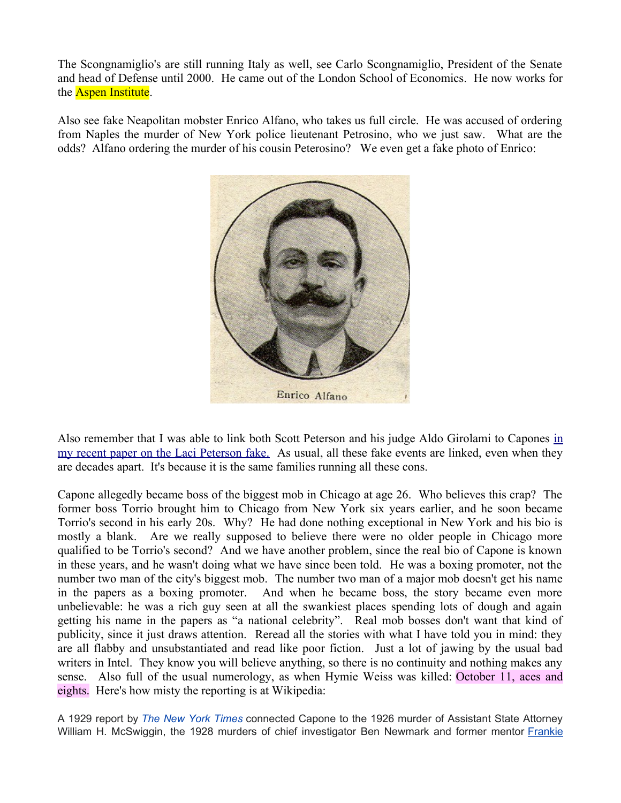The Scongnamiglio's are still running Italy as well, see Carlo Scongnamiglio, President of the Senate and head of Defense until 2000. He came out of the London School of Economics. He now works for the **Aspen Institute**.

Also see fake Neapolitan mobster Enrico Alfano, who takes us full circle. He was accused of ordering from Naples the murder of New York police lieutenant Petrosino, who we just saw. What are the odds? Alfano ordering the murder of his cousin Peterosino? We even get a fake photo of Enrico:



Also remember that I was able to l[in](http://mileswmathis.com/laci.pdf)k both Scott Peterson and his judge Aldo Girolami to Capones in [my recent paper on the Laci Peterson fake.](http://mileswmathis.com/laci.pdf) As usual, all these fake events are linked, even when they are decades apart. It's because it is the same families running all these cons.

Capone allegedly became boss of the biggest mob in Chicago at age 26. Who believes this crap? The former boss Torrio brought him to Chicago from New York six years earlier, and he soon became Torrio's second in his early 20s. Why? He had done nothing exceptional in New York and his bio is mostly a blank. Are we really supposed to believe there were no older people in Chicago more qualified to be Torrio's second? And we have another problem, since the real bio of Capone is known in these years, and he wasn't doing what we have since been told. He was a boxing promoter, not the number two man of the city's biggest mob. The number two man of a major mob doesn't get his name in the papers as a boxing promoter. And when he became boss, the story became even more unbelievable: he was a rich guy seen at all the swankiest places spending lots of dough and again getting his name in the papers as "a national celebrity". Real mob bosses don't want that kind of publicity, since it just draws attention. Reread all the stories with what I have told you in mind: they are all flabby and unsubstantiated and read like poor fiction. Just a lot of jawing by the usual bad writers in Intel. They know you will believe anything, so there is no continuity and nothing makes any sense. Also full of the usual numerology, as when Hymie Weiss was killed: October 11, aces and eights. Here's how misty the reporting is at Wikipedia:

A 1929 report by *[The New York Times](https://en.wikipedia.org/wiki/The_New_York_Times)* connected Capone to the 1926 murder of Assistant State Attorney William H. McSwiggin, the 1928 murders of chief investigator Ben Newmark and former mentor [Frankie](https://en.wikipedia.org/wiki/Frankie_Yale)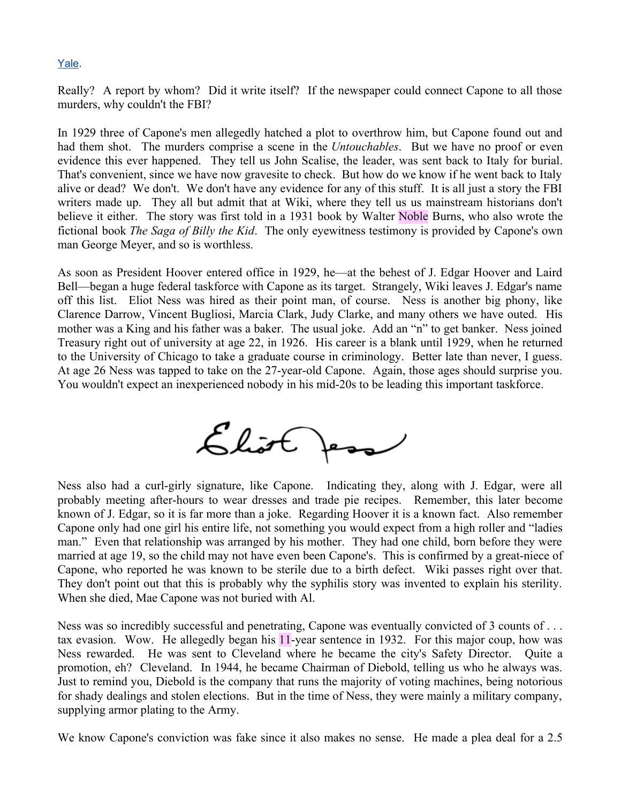## [Yale.](https://en.wikipedia.org/wiki/Frankie_Yale)

Really? A report by whom? Did it write itself? If the newspaper could connect Capone to all those murders, why couldn't the FBI?

In 1929 three of Capone's men allegedly hatched a plot to overthrow him, but Capone found out and had them shot. The murders comprise a scene in the *Untouchables*. But we have no proof or even evidence this ever happened. They tell us John Scalise, the leader, was sent back to Italy for burial. That's convenient, since we have now gravesite to check. But how do we know if he went back to Italy alive or dead? We don't. We don't have any evidence for any of this stuff. It is all just a story the FBI writers made up. They all but admit that at Wiki, where they tell us us mainstream historians don't believe it either. The story was first told in a 1931 book by Walter Noble Burns, who also wrote the fictional book *The Saga of Billy the Kid*. The only eyewitness testimony is provided by Capone's own man George Meyer, and so is worthless.

As soon as President Hoover entered office in 1929, he—at the behest of J. Edgar Hoover and Laird Bell—began a huge federal taskforce with Capone as its target. Strangely, Wiki leaves J. Edgar's name off this list. Eliot Ness was hired as their point man, of course. Ness is another big phony, like Clarence Darrow, Vincent Bugliosi, Marcia Clark, Judy Clarke, and many others we have outed. His mother was a King and his father was a baker. The usual joke. Add an "n" to get banker. Ness joined Treasury right out of university at age 22, in 1926. His career is a blank until 1929, when he returned to the University of Chicago to take a graduate course in criminology. Better late than never, I guess. At age 26 Ness was tapped to take on the 27-year-old Capone. Again, those ages should surprise you. You wouldn't expect an inexperienced nobody in his mid-20s to be leading this important taskforce.



Ness also had a curl-girly signature, like Capone. Indicating they, along with J. Edgar, were all probably meeting after-hours to wear dresses and trade pie recipes. Remember, this later become known of J. Edgar, so it is far more than a joke. Regarding Hoover it is a known fact. Also remember Capone only had one girl his entire life, not something you would expect from a high roller and "ladies man." Even that relationship was arranged by his mother. They had one child, born before they were married at age 19, so the child may not have even been Capone's. This is confirmed by a great-niece of Capone, who reported he was known to be sterile due to a birth defect. Wiki passes right over that. They don't point out that this is probably why the syphilis story was invented to explain his sterility. When she died, Mae Capone was not buried with Al.

Ness was so incredibly successful and penetrating, Capone was eventually convicted of 3 counts of . . . tax evasion. Wow. He allegedly began his 11-year sentence in 1932. For this major coup, how was Ness rewarded. He was sent to Cleveland where he became the city's Safety Director. Quite a promotion, eh? Cleveland. In 1944, he became Chairman of Diebold, telling us who he always was. Just to remind you, Diebold is the company that runs the majority of voting machines, being notorious for shady dealings and stolen elections. But in the time of Ness, they were mainly a military company, supplying armor plating to the Army.

We know Capone's conviction was fake since it also makes no sense. He made a plea deal for a 2.5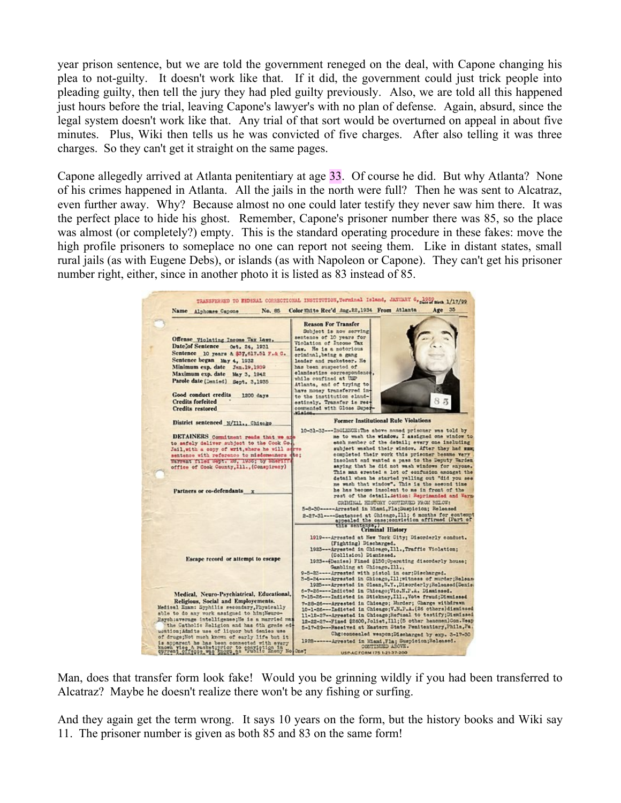year prison sentence, but we are told the government reneged on the deal, with Capone changing his plea to not-guilty. It doesn't work like that. If it did, the government could just trick people into pleading guilty, then tell the jury they had pled guilty previously. Also, we are told all this happened just hours before the trial, leaving Capone's lawyer's with no plan of defense. Again, absurd, since the legal system doesn't work like that. Any trial of that sort would be overturned on appeal in about five minutes. Plus, Wiki then tells us he was convicted of five charges. After also telling it was three charges. So they can't get it straight on the same pages.

Capone allegedly arrived at Atlanta penitentiary at age 33. Of course he did. But why Atlanta? None of his crimes happened in Atlanta. All the jails in the north were full? Then he was sent to Alcatraz, even further away. Why? Because almost no one could later testify they never saw him there. It was the perfect place to hide his ghost. Remember, Capone's prisoner number there was 85, so the place was almost (or completely?) empty. This is the standard operating procedure in these fakes: move the high profile prisoners to someplace no one can report not seeing them. Like in distant states, small rural jails (as with Eugene Debs), or islands (as with Napoleon or Capone). They can't get his prisoner number right, either, since in another photo it is listed as 83 instead of 85.

|                                                                                                                 | Color Unite Rec'd Aug. 22, 1934 From Atlanta<br>Age 35                                                                     |
|-----------------------------------------------------------------------------------------------------------------|----------------------------------------------------------------------------------------------------------------------------|
|                                                                                                                 | <b>Reason For Transfer</b>                                                                                                 |
|                                                                                                                 |                                                                                                                            |
|                                                                                                                 | Subject is now serving                                                                                                     |
| Offense Violating Income Tax Laws.                                                                              | sentence of 10 years for<br>Violation of Income Tax                                                                        |
| Datelof Sentence Oct. 24, 1931                                                                                  | Law. He is a notorious                                                                                                     |
| Sentence 10 years & \$37,617.51 F.& C.                                                                          | eriminal, being a gang                                                                                                     |
| Sentence began May 4, 1932                                                                                      | leader and racketeer. He                                                                                                   |
| Minimum exp. date Jan. 19, 1939                                                                                 | has been suspected of                                                                                                      |
| Maximum exp. date May 3, 1942                                                                                   | elandestine correspondence                                                                                                 |
| Parole date (Denied) Sept. 3,1935                                                                               | while confined at USP                                                                                                      |
|                                                                                                                 | Atlanta, and of trying to<br>have money transferred in-                                                                    |
| Good conduct credits<br>1200 days                                                                               | to the institution eland-                                                                                                  |
| <b>Credits forfeited</b>                                                                                        | estinaly. Transfer is rec-                                                                                                 |
| <b>Credits</b> restored                                                                                         | commended with Close Super                                                                                                 |
|                                                                                                                 | Mision.                                                                                                                    |
| District sentenced N/111., Chiesko                                                                              | <b>Former Institutional Rule Violations</b>                                                                                |
|                                                                                                                 | 10-31-33 --- INGLEEDE:The above named prisoner was told by                                                                 |
| DETAINERS Commitment reads that we are                                                                          | me to wash the window. I assigned one window to                                                                            |
| to safely deliver subject to the Cook Co.                                                                       | each nember of the detail; every one including                                                                             |
| Jail, with a copy of writ, where he will adrve                                                                  | subject washed their window. After they had mam;                                                                           |
| sentence with reference to misdomeshers dic;                                                                    | completed their work this prisoner besame very<br>insolant and wanted a pass to the Deputy Harden                          |
| Warrent filed Sept. 25, 1936; by Sheriff<br>office of Cook County, Ill., (Conspiracy)                           | saying that he did not wash windows for snyone.                                                                            |
|                                                                                                                 | This man ereated a lot of confusion amongst the                                                                            |
|                                                                                                                 | detail when he started yelling out "did you see                                                                            |
|                                                                                                                 | me wash that window". This is the sewond time                                                                              |
| Partners or co-defendants x                                                                                     | he has become insolent to me in front of the                                                                               |
|                                                                                                                 | rest of the detail Action: Reprimanded and Warm-                                                                           |
|                                                                                                                 | CRIMINAL HISTORY CONTINUED FROM BELOW:                                                                                     |
|                                                                                                                 | 5-8-30------ Arrested in Miami, Fla; Suspicion; Released                                                                   |
|                                                                                                                 | 2-27-31 ---- Sentenced at Chicago, Ill; 6 months for contempt<br>appealed the case;conviction affirmed (Part of            |
|                                                                                                                 | this sentance, Criminal History                                                                                            |
|                                                                                                                 |                                                                                                                            |
|                                                                                                                 | 1919---Arrested at New York City; Disorderly conduct.                                                                      |
|                                                                                                                 | (Fighting) Discharged.<br>1923---Arrested in Chicago, Ill., Traffic Violation;                                             |
|                                                                                                                 | (Collision) Diamissed.                                                                                                     |
| Escape record or attempt to escape                                                                              | 1923--(Denies) Fined \$150; Operating disorderly house:                                                                    |
|                                                                                                                 | Gambling at Chicago. Ill.,                                                                                                 |
|                                                                                                                 | 9-5-25 ---- Arrested with pistol in car:Discharged.                                                                        |
|                                                                                                                 | 3-5-24----Arrested in Chicago, Ill; witness of wurder; Release                                                             |
|                                                                                                                 | 1925--- Arrested in Clean, N.Y., Disorderly; Released (Deais:                                                              |
| Medical, Neuro-Psychiatrical, Educational,                                                                      | 6-7-26----Indicted in Chicago; Vio.N.P.A. Dississed.                                                                       |
| Religious, Social and Employements.                                                                             | 7-15-26---Indicted in Stickney, Ill., Vote fraud; Diamissed                                                                |
| Medical Ezam: Syphilis secondary, Physically                                                                    | 7-28-26---Arrested in Chicago; Murder; Charge withdrawn<br>10-1-26 --- Indicted in Chiengo; V.N.P.A. (26 others) dismissed |
| able to do any work assigned to him; Neuro-                                                                     | 11-12-27--Arrested in Chicago;Hefusal to testify;Diemissed                                                                 |
| Paych:average intelligence; He is a married man                                                                 | 12-22-27--Fined \$2600, Jolist, Ill; (5 other hencmen) Con. Weap                                                           |
| the Catholic Religion and has 6th grade ad-                                                                     | 5-17-29---Peceived at Eastern State Penitentiary, Phila, Pa.                                                               |
| wation; Aimits use of liquor but denies use                                                                     | Chgreensealed weapon; Discharged by exp. 3-17-30                                                                           |
| of drugs; Not much known of early life but it                                                                   | 1928------ Arrested in Miami, Fla; Suspicion; Released.                                                                    |
| is apparent he has been connected with every 19<br>known yies a racket; prior to the the in the first word one? | CONTINUED ADOVE.                                                                                                           |
|                                                                                                                 | <b>USP-AC FORM 175 1-21-37-200</b>                                                                                         |

Man, does that transfer form look fake! Would you be grinning wildly if you had been transferred to Alcatraz? Maybe he doesn't realize there won't be any fishing or surfing.

And they again get the term wrong. It says 10 years on the form, but the history books and Wiki say 11. The prisoner number is given as both 85 and 83 on the same form!